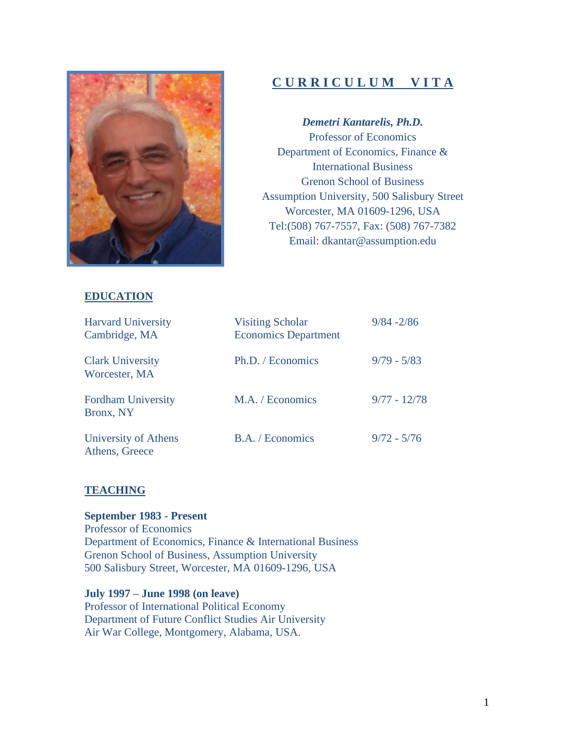

# **C U R R I C U L U M V I T A**

*Demetri Kantarelis, Ph.D.* Professor of Economics Department of Economics, Finance & International Business Grenon School of Business Assumption University, 500 Salisbury Street Worcester, MA 01609-1296, USA Tel:(508) 767-7557, Fax: (508) 767-7382 Email: [dkantar@assumption.edu](mailto:dkantar@assumption.edu)

# **EDUCATION**

| <b>Harvard University</b><br>Cambridge, MA | <b>Visiting Scholar</b><br><b>Economics Department</b> | $9/84 - 2/86$  |
|--------------------------------------------|--------------------------------------------------------|----------------|
| <b>Clark University</b><br>Worcester, MA   | Ph.D. / Economics                                      | $9/79 - 5/83$  |
| <b>Fordham University</b><br>Bronx, NY     | M.A. / Economics                                       | $9/77 - 12/78$ |
| University of Athens<br>Athens, Greece     | B.A. / Economics                                       | $9/72 - 5/76$  |

# **TEACHING**

**September 1983 - Present**  Professor of Economics Department of Economics, Finance & International Business Grenon School of Business, Assumption University 500 Salisbury Street, Worcester, MA 01609-1296, USA

**July 1997 – June 1998 (on leave)**  Professor of International Political Economy Department of Future Conflict Studies Air University Air War College, Montgomery, Alabama, USA.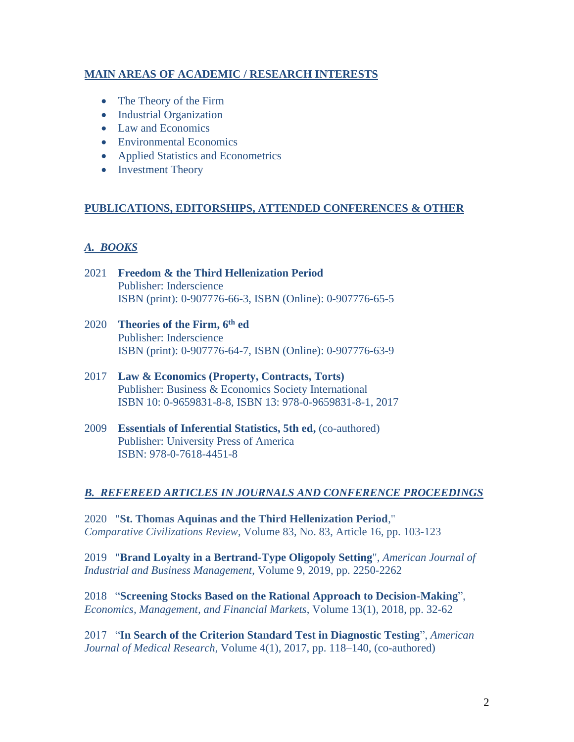# **MAIN AREAS OF ACADEMIC / RESEARCH INTERESTS**

- The Theory of the Firm
- Industrial Organization
- Law and Economics
- Environmental Economics
- Applied Statistics and Econometrics
- Investment Theory

#### **PUBLICATIONS, EDITORSHIPS, ATTENDED CONFERENCES & OTHER**

# *A. BOOKS*

- 2021 **Freedom & the Third Hellenization Period** Publisher: Inderscience ISBN (print): 0-907776-66-3, ISBN (Online): 0-907776-65-5
- 2020 **[Theories of the Firm, 6](http://www.inderscience.com/browse/book.php?journalID=1007) th ed** Publisher: Inderscience ISBN (print): 0-907776-64-7, ISBN (Online): 0-907776-63-9
- 2017 **Law & Economics (Property, Contracts, Torts)** Publisher: Business & Economics Society International ISBN 10: 0-9659831-8-8, ISBN 13: 978-0-9659831-8-1, 2017
- 2009 **[Essentials of Inferential Statistics, 5th ed,](http://www.univpress.com/Catalog/SingleBook.shtml?command=Search&db=%5EDB/CATALOG.db&eqSKUdata=0761830308)** (co-authored) Publisher: University Press of America ISBN: 978-0-7618-4451-8

#### *B. REFEREED ARTICLES IN JOURNALS AND CONFERENCE PROCEEDINGS*

2020 "**St. Thomas Aquinas and the Third Hellenization Period**," *Comparative Civilizations Review*, Volume 83, No. 83, Article 16, pp. 103-123

2019 "**Brand Loyalty in a Bertrand-Type Oligopoly Setting**", *American Journal of Industrial and Business Management*, Volume 9, 2019, pp. 2250-2262

2018 "**Screening Stocks Based on the Rational Approach to Decision-Making**", *Economics, Management, and Financial Markets*, Volume 13(1), 2018, pp. 32-62

2017 "**In Search of the Criterion Standard Test in Diagnostic Testing**", *American Journal of Medical Research*, Volume 4(1), 2017, pp. 118–140, (co-authored)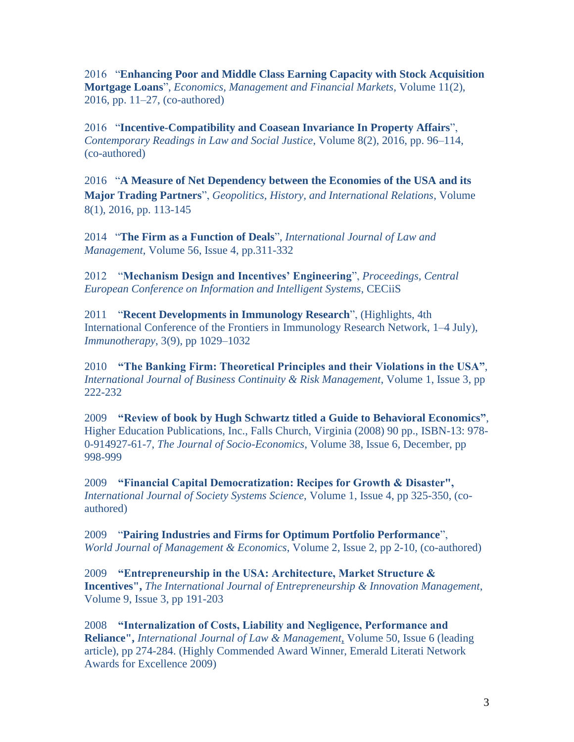2016 "**Enhancing Poor and Middle Class Earning Capacity with Stock Acquisition Mortgage Loans**", *Economics, Management and Financial Markets*, Volume 11(2), 2016, pp. 11–27, (co-authored)

2016 "**Incentive-Compatibility and Coasean Invariance In Property Affairs**", *Contemporary Readings in Law and Social Justice*, Volume 8(2), 2016, pp. 96–114, (co-authored)

2016 "**A Measure of Net Dependency between the Economies of the USA and its Major Trading Partners**", *Geopolitics, History, and International Relations*, Volume 8(1), 2016, pp. 113-145

2014 "**The Firm as a Function of Deals**", *International Journal of Law and Management*, Volume 56, Issue 4, pp.311-332

2012 "**Mechanism Design and Incentives' Engineering**", *Proceedings, Central European Conference on Information and Intelligent Systems*, CECiiS

2011 "**Recent Developments in Immunology Research**", (Highlights, 4th International Conference of the Frontiers in Immunology Research Network, 1–4 July), *Immunotherapy*, 3(9), pp 1029–1032

2010 **"The Banking Firm: Theoretical Principles and their Violations in the USA"**, *International Journal of Business Continuity & Risk Management*, Volume 1, Issue 3, pp 222-232

2009 **"Review of book by Hugh Schwartz titled a Guide to Behavioral Economics"**, Higher Education Publications, Inc., Falls Church, Virginia (2008) 90 pp., ISBN-13: 978- 0-914927-61-7, *The Journal of Socio-Economics*, Volume 38, Issue 6, December, pp 998-999

2009 **"Financial Capital Democratization: Recipes for Growth & Disaster",**  *International Journal of Society Systems Science*, Volume 1, Issue 4, pp 325-350, (coauthored)

2009"**Pairing Industries and Firms for Optimum Portfolio Performance**", *World Journal of Management & Economics*, Volume 2, Issue 2, pp 2-10, (co-authored)

2009 **"Entrepreneurship in the USA: Architecture, Market Structure & Incentives",** *The International Journal of Entrepreneurship & Innovation Management*, Volume 9, Issue 3, pp 191-203

2008 **"Internalization of Costs, Liability and Negligence, Performance and Reliance",** *International Journal of Law & Management*, Volume 50, Issue 6 (leading article), pp 274-284. (Highly Commended Award Winner, Emerald Literati Network Awards for Excellence 2009)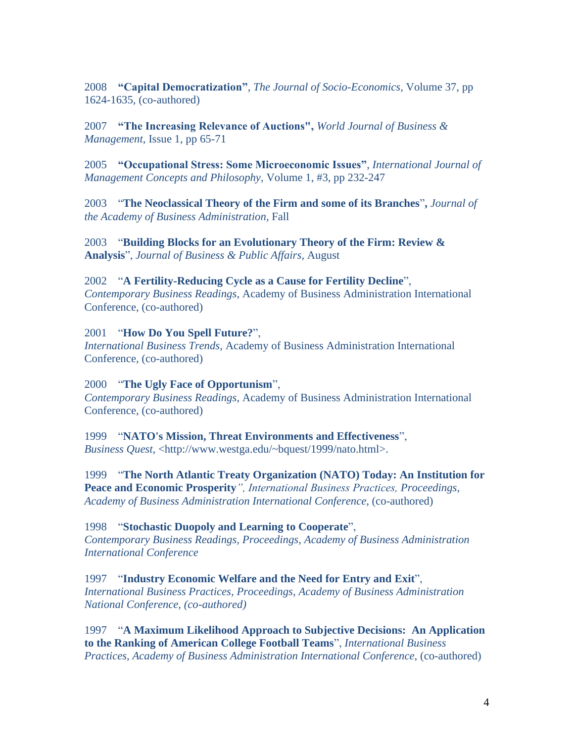2008 **"Capital Democratization"**, *The Journal of Socio-Economics*, Volume 37, pp 1624-1635, (co-authored)

2007 **"The Increasing Relevance of Auctions",** *World Journal of Business & Management*, Issue 1, pp 65-71

2005 **"Occupational Stress: Some Microeconomic Issues"**, *International Journal of Management Concepts and Philosophy*, Volume 1, #3, pp 232-247

2003 "**The Neoclassical Theory of the Firm and some of its Branches**"**,** *Journal of the Academy of Business Administration*, Fall

2003 "**Building Blocks for an Evolutionary Theory of the Firm: Review & Analysis**", *Journal of Business & Public Affairs*, August

# 2002"**A Fertility-Reducing Cycle as a Cause for Fertility Decline**",

*Contemporary Business Readings*, Academy of Business Administration International Conference, (co-authored)

2001 "**How Do You Spell Future?**", *International Business Trends*, Academy of Business Administration International Conference, (co-authored)

2000 "**The Ugly Face of Opportunism**", *Contemporary Business Readings*, Academy of Business Administration International Conference, (co-authored)

1999 "**NATO's Mission, Threat Environments and Effectiveness**", *Business Quest*, <http://www.westga.edu/~bquest/1999/nato.html>.

1999 "**The North Atlantic Treaty Organization (NATO) Today: An Institution for Peace and Economic Prosperity***", International Business Practices, Proceedings, Academy of Business Administration International Conference*, (co-authored)

1998 "**Stochastic Duopoly and Learning to Cooperate**", *Contemporary Business Readings, Proceedings, Academy of Business Administration International Conference*

1997 "**Industry Economic Welfare and the Need for Entry and Exit**", *International Business Practices, Proceedings, Academy of Business Administration National Conference, (co-authored)*

1997 "**A Maximum Likelihood Approach to Subjective Decisions: An Application to the Ranking of American College Football Teams**", *International Business Practices, Academy of Business Administration International Conference*, (co-authored)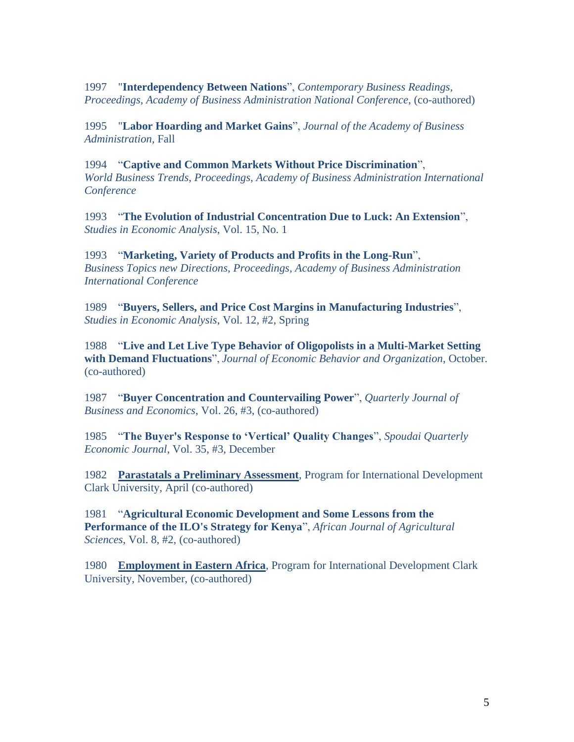1997 "**Interdependency Between Nations**", *Contemporary Business Readings, Proceedings, Academy of Business Administration National Conference*, (co-authored)

1995 "**Labor Hoarding and Market Gains**", *Journal of the Academy of Business Administration*, Fall

1994 "**Captive and Common Markets Without Price Discrimination**", *World Business Trends, Proceedings, Academy of Business Administration International Conference*

1993 "**The Evolution of Industrial Concentration Due to Luck: An Extension**", *Studies in Economic Analysis*, Vol. 15, No. 1

1993 "**Marketing, Variety of Products and Profits in the Long-Run**", *Business Topics new Directions, Proceedings, Academy of Business Administration International Conference*

1989 "**Buyers, Sellers, and Price Cost Margins in Manufacturing Industries**", *Studies in Economic Analysis*, Vol. 12, #2, Spring

1988 "**Live and Let Live Type Behavior of Oligopolists in a Multi-Market Setting with Demand Fluctuations**", *Journal of Economic Behavior and Organization*, October. (co-authored)

1987 "**Buyer Concentration and Countervailing Power**", *Quarterly Journal of Business and Economics*, Vol. 26, #3, (co-authored)

1985 "**The Buyer's Response to 'Vertical' Quality Changes**", *Spoudai Quarterly Economic Journal*, Vol. 35, #3, December

1982 **Parastatals a Preliminary Assessment**, Program for International Development Clark University, April (co-authored)

1981 "**Agricultural Economic Development and Some Lessons from the Performance of the ILO's Strategy for Kenya**", *African Journal of Agricultural Sciences*, Vol. 8, #2, (co-authored)

1980 **Employment in Eastern Africa**, Program for International Development Clark University, November, (co-authored)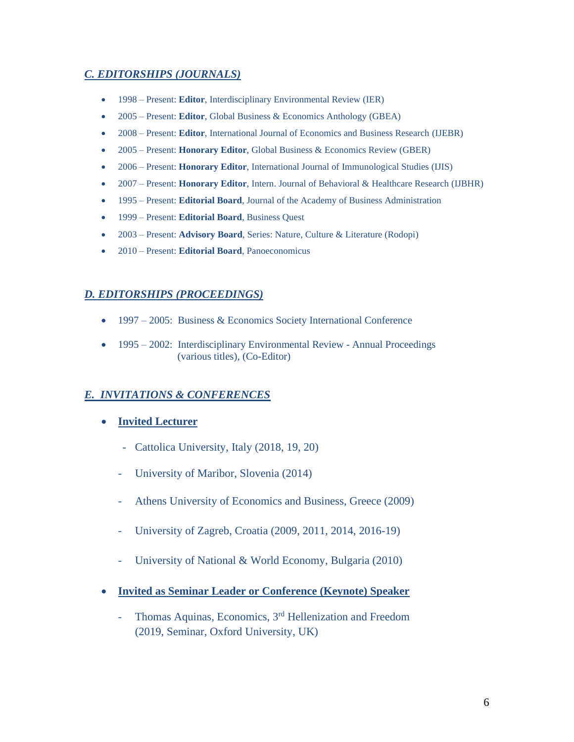# *C. EDITORSHIPS (JOURNALS)*

- 1998 Present: **Editor**[, Interdisciplinary Environmental Review](http://ieaonline.org/) (IER)
- 2005 Present: **Editor**[, Global](http://www.inderscience.com/ijbhr) Business & Economics Anthology (GBEA)
- 2008 Present: **Editor**[, International Journal of Economics and Business Research](http://www.inderscience.com/ijebr) (IJEBR)
- 2005 Present: **Honorary Editor**, [Global](http://www.inderscience.com/ijbhr) Business & Economics Review (GBER)
- 2006 Present: **Honorary Editor**, [International Journal of](http://www.inderscience.com/ijis) Immunological Studies (IJIS)
- 2007 Present: **Honorary Editor**, Intern. Journal of Behavioral & [Healthcare Research](http://www.inderscience.com/ijbhr) (IJBHR)
- 1995 Present: **Editorial Board**, Journal of the Academy of Business Administration
- 1999 Present: **Editorial Board**, Business Quest
- 2003 Present: **Advisory Board**, Series: Nature, Culture & Literature (Rodopi)
- 2010 Present: **Editorial Board**, Panoeconomicus

#### *D. EDITORSHIPS (PROCEEDINGS)*

- 1997 2005: Business & Economics Society International Conference
- 1995 2002: Interdisciplinary Environmental Review Annual Proceedings (various titles), (Co-Editor)

# *E. INVITATIONS & CONFERENCES*

- **Invited Lecturer** 
	- Cattolica University, Italy (2018, 19, 20)
	- University of Maribor, Slovenia (2014)
	- Athens University of Economics and Business, Greece (2009)
	- University of Zagreb, Croatia (2009, 2011, 2014, 2016-19)
	- University of National & World Economy, Bulgaria (2010)
- **Invited as Seminar Leader or Conference (Keynote) Speaker**
	- Thomas Aquinas, Economics, 3<sup>rd</sup> Hellenization and Freedom (2019, Seminar, Oxford University, UK)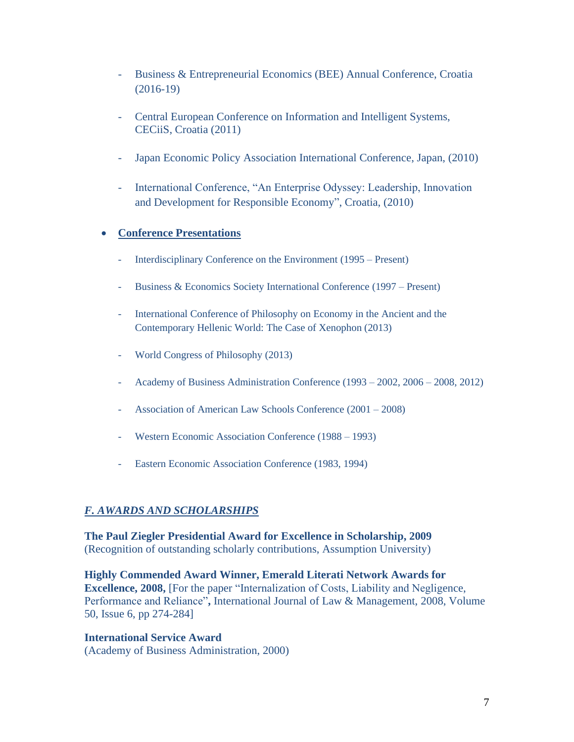- Business & Entrepreneurial Economics (BEE) Annual Conference, Croatia (2016-19)
- Central European Conference on Information and Intelligent Systems, CECiiS, Croatia (2011)
- Japan Economic Policy Association International Conference, Japan, (2010)
- International Conference, "An Enterprise Odyssey: Leadership, Innovation and Development for Responsible Economy", Croatia, (2010)

# • **Conference Presentations**

- [Interdisciplinary Conference on the Environment](http://ieaonline.org/) (1995 Present)
- [Business & Economics Society International Conference](http://www.besiweb.com/) (1997 Present)
- International Conference of Philosophy on Economy in the Ancient and the Contemporary Hellenic World: The Case of Xenophon (2013)
- World Congress of Philosophy (2013)
- Academy of Business Administration Conference (1993 2002, 2006 2008, 2012)
- Association of American Law Schools Conference (2001 2008)
- Western Economic Association Conference (1988 1993)
- Eastern Economic Association Conference (1983, 1994)

# *F. AWARDS AND SCHOLARSHIPS*

**The Paul Ziegler Presidential Award for Excellence in Scholarship, 2009** (Recognition of outstanding scholarly contributions, Assumption University)

**Highly Commended Award Winner, Emerald Literati Network Awards for Excellence, 2008,** [For the paper "Internalization of Costs, Liability and Negligence, Performance and Reliance"**,** International Journal of Law & Management, 2008, Volume 50, Issue 6, pp 274-284]

**International Service Award**  (Academy of Business Administration, 2000)